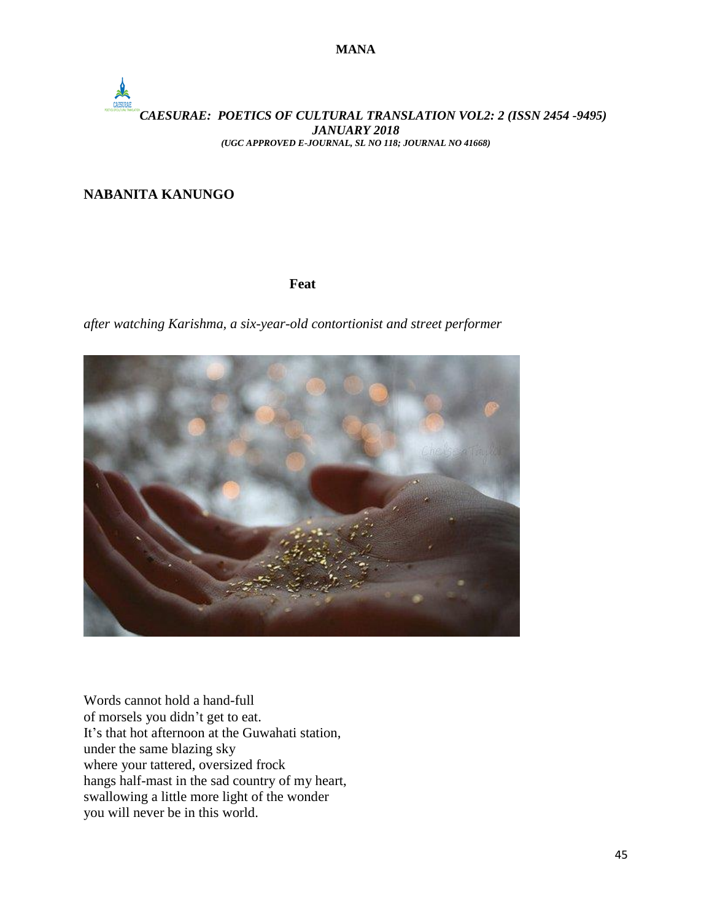**MANA**

## *CAESURAE: POETICS OF CULTURAL TRANSLATION VOL2: 2 (ISSN 2454 -9495) JANUARY 2018 (UGC APPROVED E-JOURNAL, SL NO 118; JOURNAL NO 41668)*

### **NABANITA KANUNGO**

#### *Feat* **Feat**

*after watching Karishma, a six-year-old contortionist and street performer*



Words cannot hold a hand-full of morsels you didn't get to eat. It's that hot afternoon at the Guwahati station, under the same blazing sky where your tattered, oversized frock hangs half-mast in the sad country of my heart, swallowing a little more light of the wonder you will never be in this world.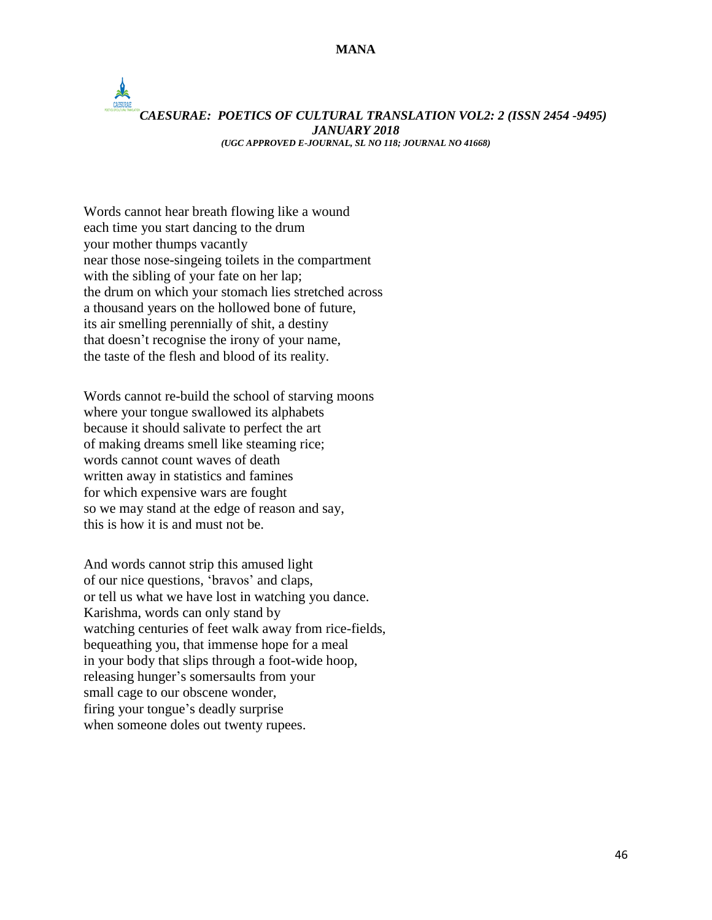#### **MANA**

## *CAESURAE: POETICS OF CULTURAL TRANSLATION VOL2: 2 (ISSN 2454 -9495) JANUARY 2018 (UGC APPROVED E-JOURNAL, SL NO 118; JOURNAL NO 41668)*

Words cannot hear breath flowing like a wound each time you start dancing to the drum your mother thumps vacantly near those nose-singeing toilets in the compartment with the sibling of your fate on her lap; the drum on which your stomach lies stretched across a thousand years on the hollowed bone of future, its air smelling perennially of shit, a destiny that doesn't recognise the irony of your name, the taste of the flesh and blood of its reality.

Words cannot re-build the school of starving moons where your tongue swallowed its alphabets because it should salivate to perfect the art of making dreams smell like steaming rice; words cannot count waves of death written away in statistics and famines for which expensive wars are fought so we may stand at the edge of reason and say, this is how it is and must not be.

And words cannot strip this amused light of our nice questions, 'bravos' and claps, or tell us what we have lost in watching you dance. Karishma, words can only stand by watching centuries of feet walk away from rice-fields, bequeathing you, that immense hope for a meal in your body that slips through a foot-wide hoop, releasing hunger's somersaults from your small cage to our obscene wonder, firing your tongue's deadly surprise when someone doles out twenty rupees.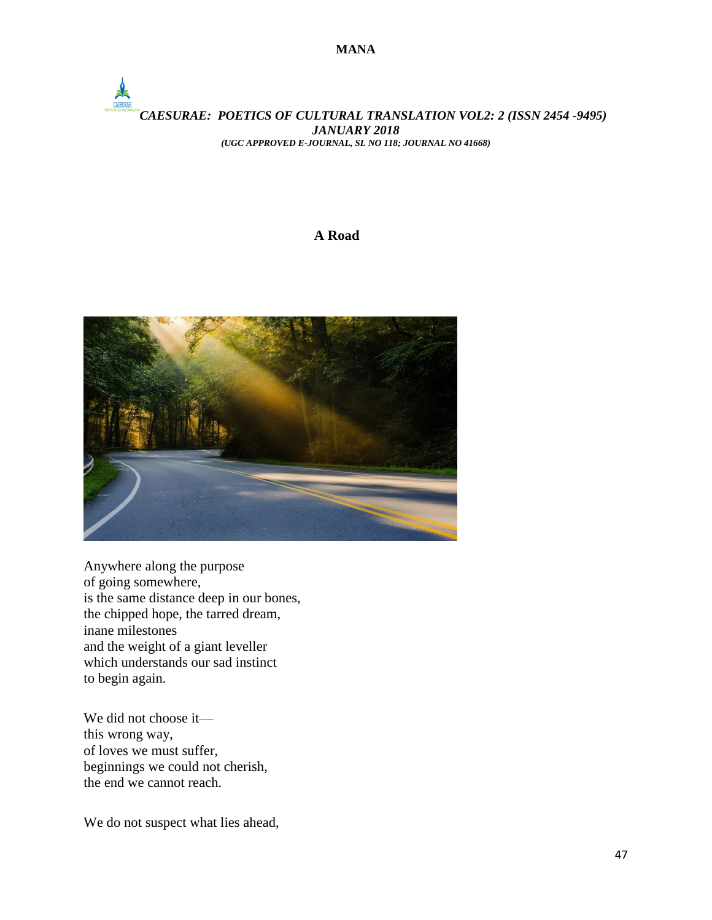## *CAESURAE: POETICS OF CULTURAL TRANSLATION VOL2: 2 (ISSN 2454 -9495) JANUARY 2018 (UGC APPROVED E-JOURNAL, SL NO 118; JOURNAL NO 41668)*

#### **<sup>A</sup> Road**



Anywhere along the purpose of going somewhere, is the same distance deep in our bones, the chipped hope, the tarred dream, inane milestones and the weight of a giant leveller which understands our sad instinct to begin again.

We did not choose it this wrong way, of loves we must suffer, beginnings we could not cherish, the end we cannot reach.

We do not suspect what lies ahead,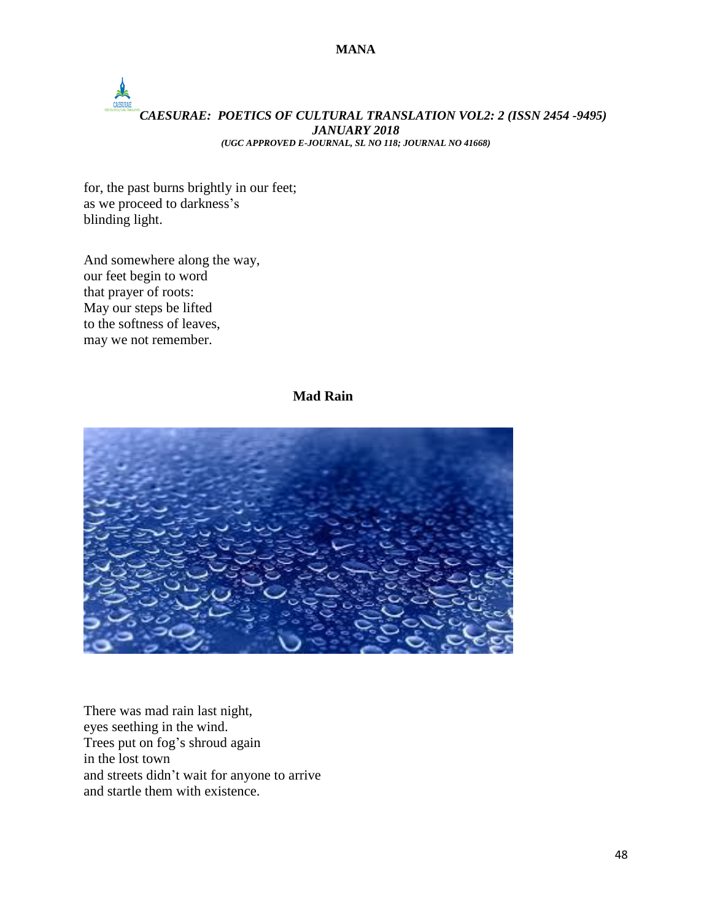# *CAESURAE: POETICS OF CULTURAL TRANSLATION VOL2: 2 (ISSN 2454 -9495) JANUARY 2018 (UGC APPROVED E-JOURNAL, SL NO 118; JOURNAL NO 41668)*

for, the past burns brightly in our feet; as we proceed to darkness's blinding light.

And somewhere along the way, our feet begin to word that prayer of roots: May our steps be lifted to the softness of leaves, may we not remember.

### **Mad Rain**



There was mad rain last night, eyes seething in the wind. Trees put on fog's shroud again in the lost town and streets didn't wait for anyone to arrive and startle them with existence.